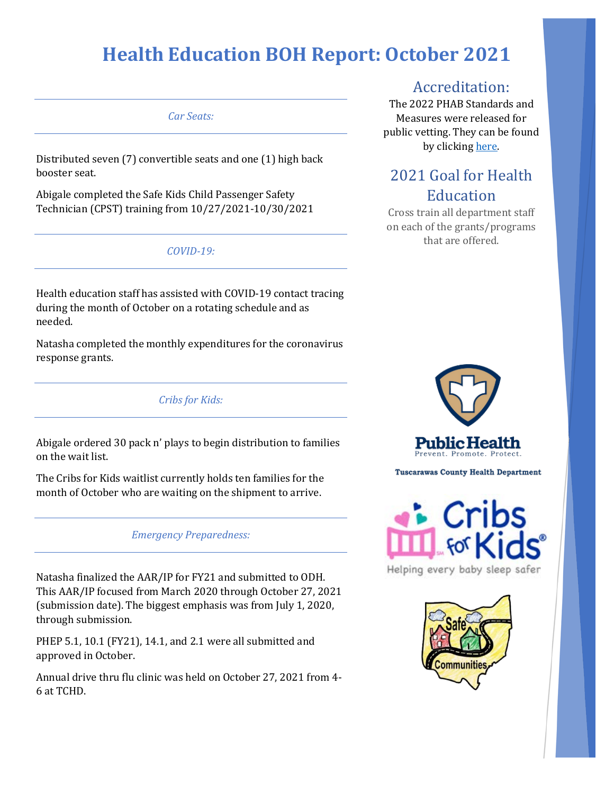#### *Car Seats:*

Distributed seven (7) convertible seats and one (1) high back booster seat.

Abigale completed the Safe Kids Child Passenger Safety Technician (CPST) training from 10/27/2021-10/30/2021

#### *COVID-19:*

Health education staff has assisted with COVID-19 contact tracing during the month of October on a rotating schedule and as needed.

Natasha completed the monthly expenditures for the coronavirus response grants.

#### *Cribs for Kids:*

Abigale ordered 30 pack n' plays to begin distribution to families on the wait list.

The Cribs for Kids waitlist currently holds ten families for the month of October who are waiting on the shipment to arrive.

*Emergency Preparedness:*

Natasha finalized the AAR/IP for FY21 and submitted to ODH. This AAR/IP focused from March 2020 through October 27, 2021 (submission date). The biggest emphasis was from July 1, 2020, through submission.

PHEP 5.1, 10.1 (FY21), 14.1, and 2.1 were all submitted and approved in October.

Annual drive thru flu clinic was held on October 27, 2021 from 4- 6 at TCHD.

### Accreditation:

The 2022 PHAB Standards and Measures were released for public vetting. They can be found by clicking [here.](https://phaboard.org/wp-content/uploads/Draft-Reaccreditation-SM-V2022.pdf)

### 2021 Goal for Health Education

Cross train all department staff on each of the grants/programs that are offered.



**Tuscarawas County Health Department** 

Helping every baby sleep safer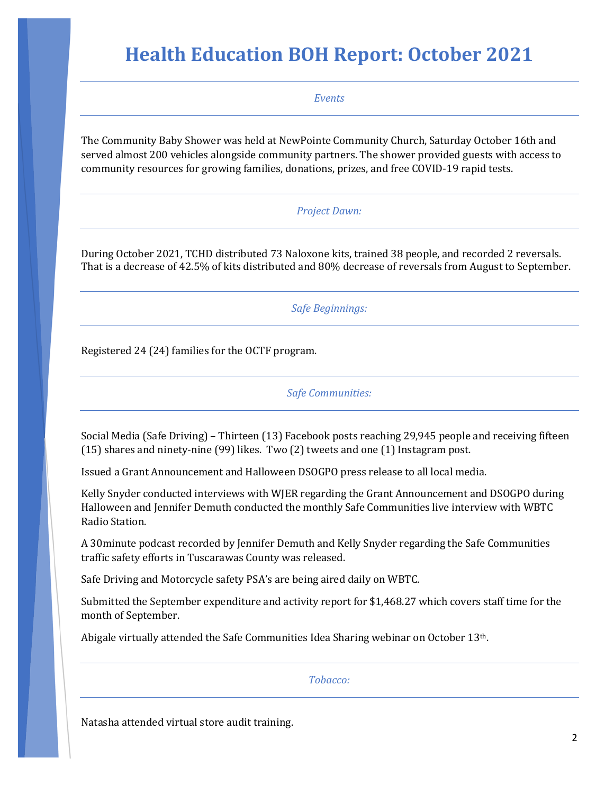*Events*

The Community Baby Shower was held at NewPointe Community Church, Saturday October 16th and served almost 200 vehicles alongside community partners. The shower provided guests with access to community resources for growing families, donations, prizes, and free COVID-19 rapid tests.

#### *Project Dawn:*

During October 2021, TCHD distributed 73 Naloxone kits, trained 38 people, and recorded 2 reversals. That is a decrease of 42.5% of kits distributed and 80% decrease of reversals from August to September.

*Safe Beginnings:*

Registered 24 (24) families for the OCTF program.

#### *Safe Communities:*

Social Media (Safe Driving) – Thirteen (13) Facebook posts reaching 29,945 people and receiving fifteen (15) shares and ninety-nine (99) likes. Two (2) tweets and one (1) Instagram post.

Issued a Grant Announcement and Halloween DSOGPO press release to all local media.

Kelly Snyder conducted interviews with WJER regarding the Grant Announcement and DSOGPO during Halloween and Jennifer Demuth conducted the monthly Safe Communities live interview with WBTC Radio Station.

A 30minute podcast recorded by Jennifer Demuth and Kelly Snyder regarding the Safe Communities traffic safety efforts in Tuscarawas County was released.

Safe Driving and Motorcycle safety PSA's are being aired daily on WBTC.

Submitted the September expenditure and activity report for \$1,468.27 which covers staff time for the month of September.

Abigale virtually attended the Safe Communities Idea Sharing webinar on October 13th.

|                                                | Tobacco: |
|------------------------------------------------|----------|
| Natasha attended virtual store audit training. |          |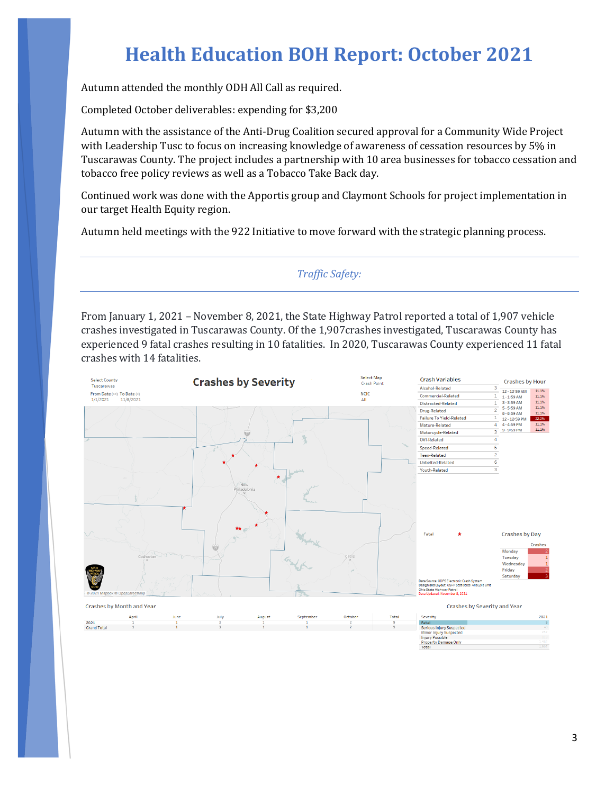Autumn attended the monthly ODH All Call as required.

Completed October deliverables: expending for \$3,200

Autumn with the assistance of the Anti-Drug Coalition secured approval for a Community Wide Project with Leadership Tusc to focus on increasing knowledge of awareness of cessation resources by 5% in Tuscarawas County. The project includes a partnership with 10 area businesses for tobacco cessation and tobacco free policy reviews as well as a Tobacco Take Back day.

Continued work was done with the Apportis group and Claymont Schools for project implementation in our target Health Equity region.

Autumn held meetings with the 922 Initiative to move forward with the strategic planning process.

#### *Traffic Safety:*

From January 1, 2021 – November 8, 2021, the State Highway Patrol reported a total of 1,907 vehicle crashes investigated in Tuscarawas County. Of the 1,907crashes investigated, Tuscarawas County has experienced 9 fatal crashes resulting in 10 fatalities. In 2020, Tuscarawas County experienced 11 fatal crashes with 14 fatalities.